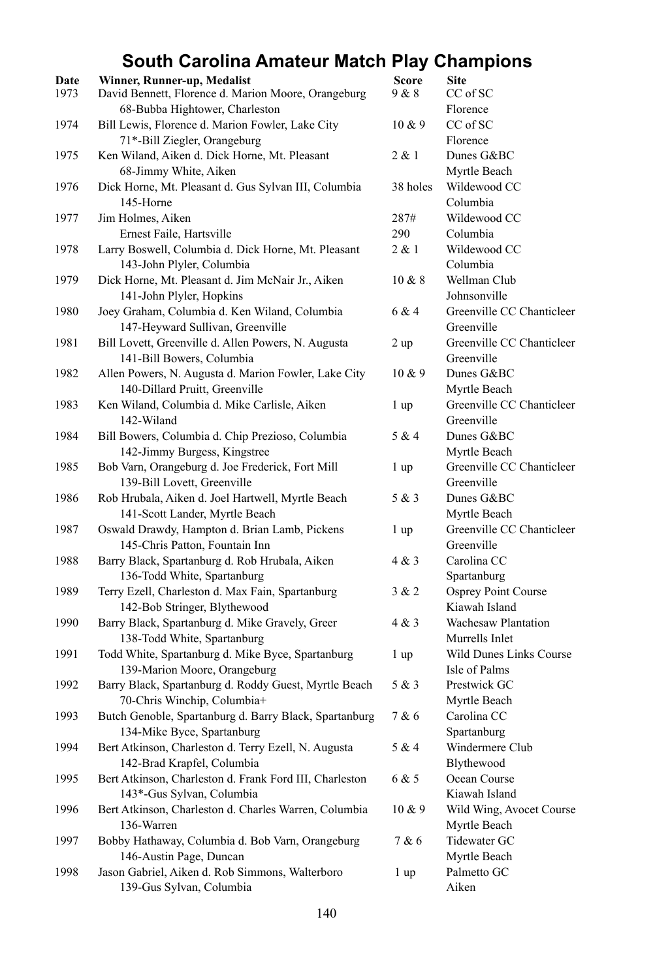## **South Carolina Amateur Match Play Champions**

| Date<br>1973 | Winner, Runner-up, Medalist<br>David Bennett, Florence d. Marion Moore, Orangeburg | <b>Score</b><br>9 & 8 | <b>Site</b><br>CC of SC   |
|--------------|------------------------------------------------------------------------------------|-----------------------|---------------------------|
|              | 68-Bubba Hightower, Charleston                                                     |                       | Florence                  |
| 1974         | Bill Lewis, Florence d. Marion Fowler, Lake City                                   | 10 & 9                | CC of SC                  |
|              | 71*-Bill Ziegler, Orangeburg                                                       |                       | Florence                  |
| 1975         | Ken Wiland, Aiken d. Dick Horne, Mt. Pleasant                                      | 2 & 1                 | Dunes G&BC                |
|              | 68-Jimmy White, Aiken                                                              |                       | Myrtle Beach              |
| 1976         | Dick Horne, Mt. Pleasant d. Gus Sylvan III, Columbia                               | 38 holes              | Wildewood CC              |
|              | 145-Horne                                                                          |                       | Columbia                  |
| 1977         | Jim Holmes, Aiken                                                                  | 287#                  | Wildewood CC              |
|              | Ernest Faile, Hartsville                                                           | 290                   | Columbia                  |
| 1978         | Larry Boswell, Columbia d. Dick Horne, Mt. Pleasant                                | 2 & 1                 | Wildewood CC              |
|              | 143-John Plyler, Columbia                                                          |                       | Columbia                  |
| 1979         | Dick Horne, Mt. Pleasant d. Jim McNair Jr., Aiken                                  | 10 & 8                | Wellman Club              |
|              | 141-John Plyler, Hopkins                                                           |                       | Johnsonville              |
| 1980         | Joey Graham, Columbia d. Ken Wiland, Columbia                                      | 6 & 4                 | Greenville CC Chanticleer |
|              | 147-Heyward Sullivan, Greenville                                                   |                       | Greenville                |
| 1981         | Bill Lovett, Greenville d. Allen Powers, N. Augusta                                | 2 up                  | Greenville CC Chanticleer |
|              | 141-Bill Bowers, Columbia                                                          |                       | Greenville                |
| 1982         | Allen Powers, N. Augusta d. Marion Fowler, Lake City                               | 10 & 9                | Dunes G&BC                |
|              | 140-Dillard Pruitt, Greenville                                                     |                       | Myrtle Beach              |
| 1983         | Ken Wiland, Columbia d. Mike Carlisle, Aiken                                       | 1 up                  | Greenville CC Chanticleer |
|              | 142-Wiland                                                                         |                       | Greenville                |
| 1984         | Bill Bowers, Columbia d. Chip Prezioso, Columbia                                   | 5 & 4                 | Dunes G&BC                |
|              | 142-Jimmy Burgess, Kingstree                                                       |                       | Myrtle Beach              |
| 1985         | Bob Varn, Orangeburg d. Joe Frederick, Fort Mill                                   | 1 up                  | Greenville CC Chanticleer |
|              | 139-Bill Lovett, Greenville                                                        |                       | Greenville                |
| 1986         | Rob Hrubala, Aiken d. Joel Hartwell, Myrtle Beach                                  | 5 & 3                 | Dunes G&BC                |
|              | 141-Scott Lander, Myrtle Beach                                                     |                       | Myrtle Beach              |
| 1987         | Oswald Drawdy, Hampton d. Brian Lamb, Pickens                                      | 1 up                  | Greenville CC Chanticleer |
|              | 145-Chris Patton, Fountain Inn                                                     |                       | Greenville                |
| 1988         | Barry Black, Spartanburg d. Rob Hrubala, Aiken                                     | 4 & 3                 | Carolina CC               |
|              | 136-Todd White, Spartanburg                                                        |                       | Spartanburg               |
| 1989         | Terry Ezell, Charleston d. Max Fain, Spartanburg                                   | 3 & 2                 | Osprey Point Course       |
|              | 142-Bob Stringer, Blythewood                                                       |                       | Kiawah Island             |
| 1990         | Barry Black, Spartanburg d. Mike Gravely, Greer                                    | 4 & 3                 | Wachesaw Plantation       |
|              | 138-Todd White, Spartanburg                                                        |                       | Murrells Inlet            |
| 1991         | Todd White, Spartanburg d. Mike Byce, Spartanburg                                  | 1 up                  | Wild Dunes Links Course   |
|              | 139-Marion Moore, Orangeburg                                                       |                       | Isle of Palms             |
| 1992         | Barry Black, Spartanburg d. Roddy Guest, Myrtle Beach                              | 5 & 3                 | Prestwick GC              |
|              | 70-Chris Winchip, Columbia+                                                        |                       | Myrtle Beach              |
| 1993         | Butch Genoble, Spartanburg d. Barry Black, Spartanburg                             | 7 & 6                 | Carolina CC               |
|              | 134-Mike Byce, Spartanburg                                                         |                       | Spartanburg               |
| 1994         | Bert Atkinson, Charleston d. Terry Ezell, N. Augusta                               | $5\ \&\ 4$            | Windermere Club           |
|              | 142-Brad Krapfel, Columbia                                                         |                       | Blythewood                |
| 1995         | Bert Atkinson, Charleston d. Frank Ford III, Charleston                            | 6 & 5                 | Ocean Course              |
|              | 143*-Gus Sylvan, Columbia                                                          |                       | Kiawah Island             |
| 1996         | Bert Atkinson, Charleston d. Charles Warren, Columbia                              | 10 & 9                | Wild Wing, Avocet Course  |
|              | 136-Warren                                                                         |                       | Myrtle Beach              |
| 1997         | Bobby Hathaway, Columbia d. Bob Varn, Orangeburg                                   | 7 & 6                 | Tidewater GC              |
|              | 146-Austin Page, Duncan                                                            |                       | Myrtle Beach              |
| 1998         | Jason Gabriel, Aiken d. Rob Simmons, Walterboro                                    | 1 <sub>up</sub>       | Palmetto GC               |
|              | 139-Gus Sylvan, Columbia                                                           |                       | Aiken                     |